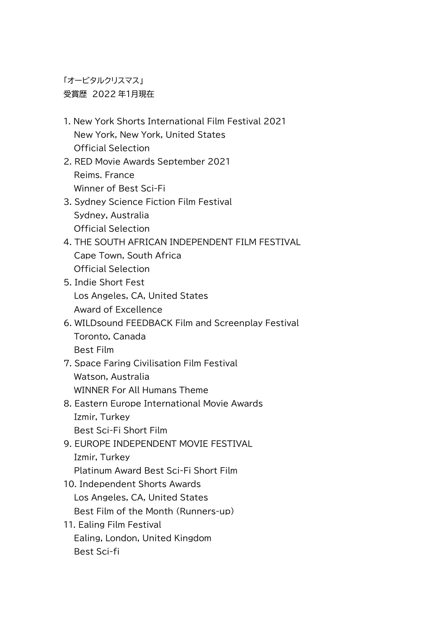「オービタルクリスマス」 受賞歴 2022 年1月現在

- 1. New York Shorts International Film Festival 2021 New York, New York, United States Official Selection
- 2. RED Movie Awards September 2021 Reims. France Winner of Best Sci-Fi

## 3. Sydney Science Fiction Film Festival Sydney, Australia Official Selection

- 4. THE SOUTH AFRICAN INDEPENDENT FILM FESTIVAL Cape Town, South Africa Official Selection
- 5. Indie Short Fest Los Angeles, CA, United States Award of Excellence
- 6. WILDsound FEEDBACK Film and Screenplay Festival Toronto, Canada Best Film
- 7. Space Faring Civilisation Film Festival Watson, Australia WINNER For All Humans Theme
- 8. Eastern Europe International Movie Awards Izmir, Turkey Best Sci-Fi Short Film
- 9. EUROPE INDEPENDENT MOVIE FESTIVAL Izmir, Turkey Platinum Award Best Sci-Fi Short Film
- 10. Independent Shorts Awards Los Angeles, CA, United States Best Film of the Month (Runners-up)
- 11. Ealing Film Festival Ealing, London, United Kingdom Best Sci-fi